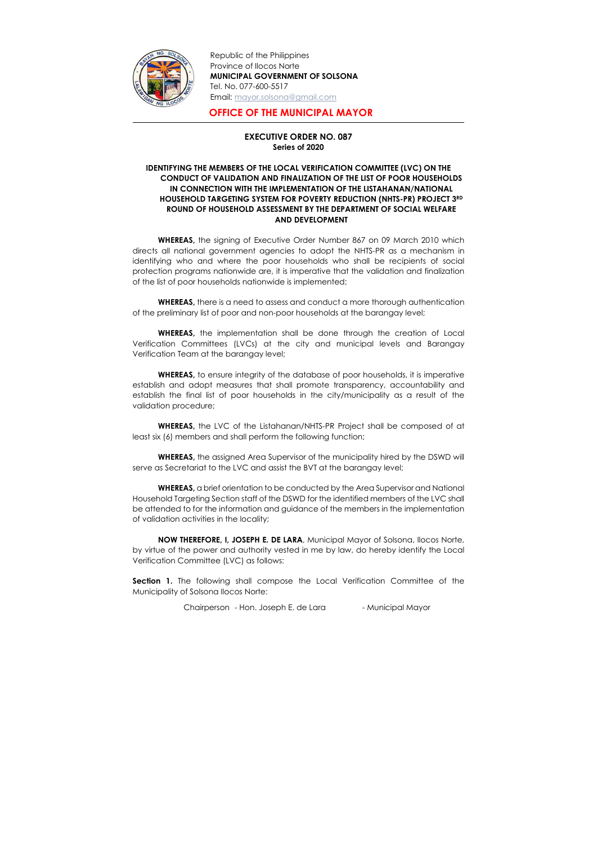

Republic of the Philippines Province of Ilocos Norte MUNICIPAL GOVERNMENT OF SOLSONA Tel. No. 077-600-5517 Email: mayor.solsona@gmail.com

## OFFICE OF THE MUNICIPAL MAYOR

## EXECUTIVE ORDER NO. 087 Series of 2020

## IDENTIFYING THE MEMBERS OF THE LOCAL VERIFICATION COMMITTEE (LVC) ON THE CONDUCT OF VALIDATION AND FINALIZATION OF THE LIST OF POOR HOUSEHOLDS IN CONNECTION WITH THE IMPLEMENTATION OF THE LISTAHANAN/NATIONAL HOUSEHOLD TARGETING SYSTEM FOR POVERTY REDUCTION (NHTS-PR) PROJECT 3RD ROUND OF HOUSEHOLD ASSESSMENT BY THE DEPARTMENT OF SOCIAL WELFARE AND DEVELOPMENT

**WHEREAS,** there is a need to assess and conduct a more thorough authentication of the preliminary list of poor and non-poor households at the barangay level;

WHEREAS, the signing of Executive Order Number 867 on 09 March 2010 which directs all national government agencies to adopt the NHTS-PR as a mechanism in identifying who and where the poor households who shall be recipients of social protection programs nationwide are, it is imperative that the validation and finalization of the list of poor households nationwide is implemented;

WHEREAS, to ensure integrity of the database of poor households, it is imperative establish and adopt measures that shall promote transparency, accountability and establish the final list of poor households in the city/municipality as a result of the validation procedure;

WHEREAS, the implementation shall be done through the creation of Local Verification Committees (LVCs) at the city and municipal levels and Barangay Verification Team at the barangay level;

**Section 1.** The following shall compose the Local Verification Committee of the Municipality of Solsona Ilocos Norte:

WHEREAS, the LVC of the Listahanan/NHTS-PR Project shall be composed of at least six (6) members and shall perform the following function;

WHEREAS, the assigned Area Supervisor of the municipality hired by the DSWD will serve as Secretariat to the LVC and assist the BVT at the barangay level;

WHEREAS, a brief orientation to be conducted by the Area Supervisor and National Household Targeting Section staff of the DSWD for the identified members of the LVC shall be attended to for the information and guidance of the members in the implementation of validation activities in the locality;

NOW THEREFORE, I, JOSEPH E. DE LARA, Municipal Mayor of Solsona, Ilocos Norte, by virtue of the power and authority vested in me by law, do hereby identify the Local Verification Committee (LVC) as follows: